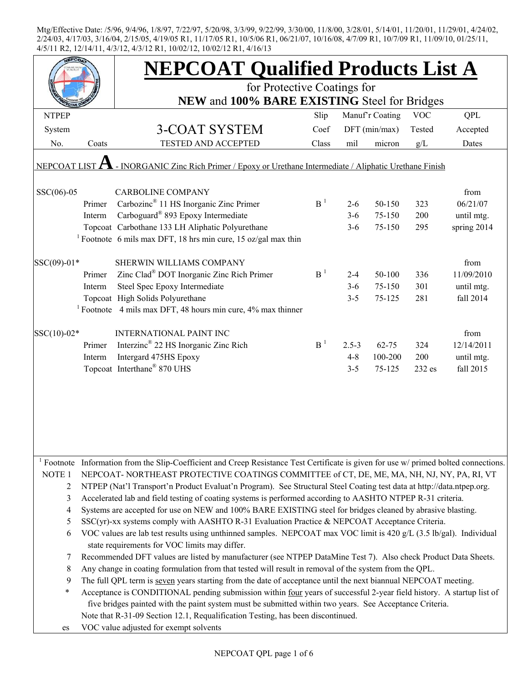|              |                                                                                                                  | <b>NEPCOAT Qualified Products List A</b>                                                                                            |                   |           |                 |            |             |  |  |  |
|--------------|------------------------------------------------------------------------------------------------------------------|-------------------------------------------------------------------------------------------------------------------------------------|-------------------|-----------|-----------------|------------|-------------|--|--|--|
|              |                                                                                                                  | for Protective Coatings for                                                                                                         |                   |           |                 |            |             |  |  |  |
|              |                                                                                                                  | NEW and 100% BARE EXISTING Steel for Bridges                                                                                        |                   |           |                 |            |             |  |  |  |
| <b>NTPEP</b> |                                                                                                                  |                                                                                                                                     | Slip              |           | Manuf'r Coating | <b>VOC</b> | QPL         |  |  |  |
| System       |                                                                                                                  | 3-COAT SYSTEM                                                                                                                       | Coef              |           | DFT (min/max)   | Tested     | Accepted    |  |  |  |
| No.          | Coats                                                                                                            | <b>TESTED AND ACCEPTED</b>                                                                                                          | Class             | mil       | micron          | g/L        | Dates       |  |  |  |
|              | NEPCOAT LIST $\Lambda$ - INORGANIC Zinc Rich Primer / Epoxy or Urethane Intermediate / Aliphatic Urethane Finish |                                                                                                                                     |                   |           |                 |            |             |  |  |  |
| $SSC(06)-05$ |                                                                                                                  | <b>CARBOLINE COMPANY</b>                                                                                                            |                   |           |                 |            | from        |  |  |  |
|              | Primer                                                                                                           | Carbozinc <sup>®</sup> 11 HS Inorganic Zinc Primer                                                                                  | B <sup>1</sup>    | $2 - 6$   | 50-150          | 323        | 06/21/07    |  |  |  |
|              | Interm                                                                                                           | Carboguard® 893 Epoxy Intermediate                                                                                                  |                   | $3 - 6$   | 75-150          | 200        | until mtg.  |  |  |  |
|              |                                                                                                                  | Topcoat Carbothane 133 LH Aliphatic Polyurethane                                                                                    |                   | $3 - 6$   | 75-150          | 295        | spring 2014 |  |  |  |
|              |                                                                                                                  | <sup>1</sup> Footnote 6 mils max DFT, 18 hrs min cure, 15 oz/gal max thin                                                           |                   |           |                 |            |             |  |  |  |
| SSC(09)-01*  |                                                                                                                  | SHERWIN WILLIAMS COMPANY                                                                                                            |                   |           |                 |            | from        |  |  |  |
|              | Primer                                                                                                           | Zinc Clad <sup>®</sup> DOT Inorganic Zinc Rich Primer                                                                               | B <sup>1</sup>    | $2 - 4$   | 50-100          | 336        | 11/09/2010  |  |  |  |
|              | Interm                                                                                                           | Steel Spec Epoxy Intermediate                                                                                                       |                   | $3-6$     | 75-150          | 301        | until mtg.  |  |  |  |
|              |                                                                                                                  | Topcoat High Solids Polyurethane                                                                                                    |                   | $3 - 5$   | 75-125          | 281        | fall 2014   |  |  |  |
|              |                                                                                                                  | <sup>1</sup> Footnote 4 mils max DFT, 48 hours min cure, $4\%$ max thinner                                                          |                   |           |                 |            |             |  |  |  |
|              |                                                                                                                  |                                                                                                                                     |                   |           |                 |            |             |  |  |  |
| SSC(10)-02*  |                                                                                                                  | <b>INTERNATIONAL PAINT INC</b>                                                                                                      | $\mathbf{B}^{-1}$ |           |                 |            | from        |  |  |  |
|              | Primer                                                                                                           | Interzinc <sup>®</sup> 22 HS Inorganic Zinc Rich                                                                                    |                   | $2.5 - 3$ | $62 - 75$       | 324        | 12/14/2011  |  |  |  |
|              | Interm                                                                                                           | Intergard 475HS Epoxy                                                                                                               |                   | $4 - 8$   | 100-200         | 200        | until mtg.  |  |  |  |
|              |                                                                                                                  | Topcoat Interthane® 870 UHS                                                                                                         |                   | $3 - 5$   | 75-125          | 232 es     | fall 2015   |  |  |  |
|              |                                                                                                                  |                                                                                                                                     |                   |           |                 |            |             |  |  |  |
|              |                                                                                                                  |                                                                                                                                     |                   |           |                 |            |             |  |  |  |
|              |                                                                                                                  |                                                                                                                                     |                   |           |                 |            |             |  |  |  |
|              |                                                                                                                  |                                                                                                                                     |                   |           |                 |            |             |  |  |  |
|              |                                                                                                                  |                                                                                                                                     |                   |           |                 |            |             |  |  |  |
|              |                                                                                                                  | Footnote Information from the Slip-Coefficient and Creep Resistance Test Certificate is given for use w/ primed bolted connections. |                   |           |                 |            |             |  |  |  |
| NOTE 1       |                                                                                                                  | NEPCOAT-NORTHEAST PROTECTIVE COATINGS COMMITTEE of CT, DE, ME, MA, NH, NJ, NY, PA, RI, VT                                           |                   |           |                 |            |             |  |  |  |
| 2            |                                                                                                                  | NTPEP (Nat'l Transport'n Product Evaluat'n Program). See Structural Steel Coating test data at http://data.ntpep.org.               |                   |           |                 |            |             |  |  |  |
| 3            |                                                                                                                  | Accelerated lab and field testing of coating systems is performed according to AASHTO NTPEP R-31 criteria.                          |                   |           |                 |            |             |  |  |  |
| 4            |                                                                                                                  | Systems are accepted for use on NEW and 100% BARE EXISTING steel for bridges cleaned by abrasive blasting.                          |                   |           |                 |            |             |  |  |  |
| 5            |                                                                                                                  | SSC(yr)-xx systems comply with AASHTO R-31 Evaluation Practice & NEPCOAT Acceptance Criteria.                                       |                   |           |                 |            |             |  |  |  |
| 6            |                                                                                                                  | VOC values are lab test results using unthinned samples. NEPCOAT max VOC limit is 420 g/L (3.5 lb/gal). Individual                  |                   |           |                 |            |             |  |  |  |
|              |                                                                                                                  | state requirements for VOC limits may differ.                                                                                       |                   |           |                 |            |             |  |  |  |
| 7            |                                                                                                                  | Recommended DFT values are listed by manufacturer (see NTPEP DataMine Test 7). Also check Product Data Sheets.                      |                   |           |                 |            |             |  |  |  |
| 8            |                                                                                                                  | Any change in coating formulation from that tested will result in removal of the system from the QPL.                               |                   |           |                 |            |             |  |  |  |
| 9            |                                                                                                                  | The full QPL term is seven years starting from the date of acceptance until the next biannual NEPCOAT meeting.                      |                   |           |                 |            |             |  |  |  |
| $\ast$       |                                                                                                                  | Acceptance is CONDITIONAL pending submission within four years of successful 2-year field history. A startup list of                |                   |           |                 |            |             |  |  |  |
|              |                                                                                                                  | five bridges painted with the paint system must be submitted within two years. See Acceptance Criteria.                             |                   |           |                 |            |             |  |  |  |
|              |                                                                                                                  | Note that R-31-09 Section 12.1, Requalification Testing, has been discontinued.                                                     |                   |           |                 |            |             |  |  |  |
| es           |                                                                                                                  | VOC value adjusted for exempt solvents                                                                                              |                   |           |                 |            |             |  |  |  |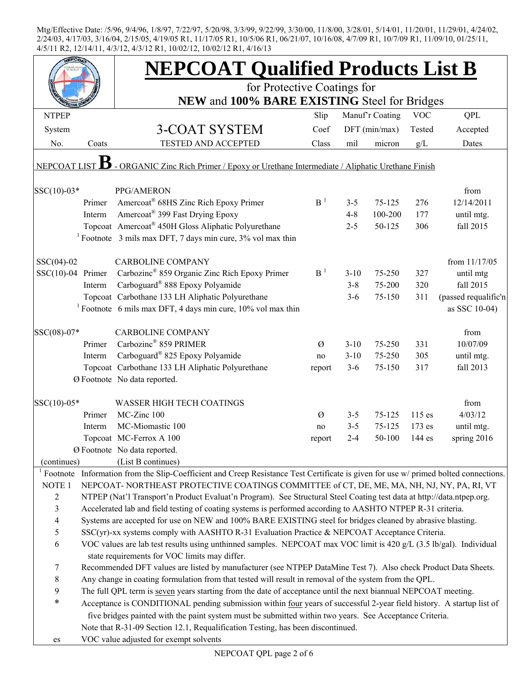|                     |        | <b>NEPCOAT Qualified Products List B</b>                                                                                                                                                                                        |                |          |                 |            |                      |
|---------------------|--------|---------------------------------------------------------------------------------------------------------------------------------------------------------------------------------------------------------------------------------|----------------|----------|-----------------|------------|----------------------|
|                     |        | for Protective Coatings for                                                                                                                                                                                                     |                |          |                 |            |                      |
| <b>NTPEP</b>        |        | NEW and 100% BARE EXISTING Steel for Bridges                                                                                                                                                                                    | Slip           |          | Manuf'r Coating | <b>VOC</b> | QPL                  |
|                     |        |                                                                                                                                                                                                                                 | Coef           |          |                 | Tested     |                      |
| System              |        | 3-COAT SYSTEM                                                                                                                                                                                                                   |                |          | $DFT$ (min/max) |            | Accepted             |
| No.                 | Coats  | TESTED AND ACCEPTED                                                                                                                                                                                                             | Class          | mil      | micron          | g/L        | Dates                |
| <b>NEPCOAT LIST</b> |        | - ORGANIC Zinc Rich Primer / Epoxy or Urethane Intermediate / Aliphatic Urethane Finish                                                                                                                                         |                |          |                 |            |                      |
| SSC(10)-03*         |        | PPG/AMERON                                                                                                                                                                                                                      |                |          |                 |            | from                 |
|                     | Primer | Amercoat <sup>®</sup> 68HS Zinc Rich Epoxy Primer                                                                                                                                                                               | B <sup>1</sup> | $3 - 5$  | 75-125          | 276        | 12/14/2011           |
|                     | Interm | Amercoat <sup>®</sup> 399 Fast Drying Epoxy                                                                                                                                                                                     |                | $4 - 8$  | 100-200         | 177        | until mtg.           |
|                     |        | Topcoat Amercoat® 450H Gloss Aliphatic Polyurethane                                                                                                                                                                             |                | $2 - 5$  | 50-125          | 306        | fall 2015            |
|                     |        | <sup>1</sup> Footnote $\,$ 3 mils max DFT, 7 days min cure, 3% vol max thin                                                                                                                                                     |                |          |                 |            |                      |
| $SSC(04)-02$        |        | <b>CARBOLINE COMPANY</b>                                                                                                                                                                                                        |                |          |                 |            | from 11/17/05        |
| $SSC(10)-04$ Primer |        | Carbozinc <sup>®</sup> 859 Organic Zinc Rich Epoxy Primer                                                                                                                                                                       | B <sup>1</sup> | $3 - 10$ | 75-250          | 327        | until mtg            |
|                     | Interm | Carboguard® 888 Epoxy Polyamide                                                                                                                                                                                                 |                | $3 - 8$  | 75-200          | 320        | fall 2015            |
|                     |        | Topcoat Carbothane 133 LH Aliphatic Polyurethane                                                                                                                                                                                |                | $3 - 6$  | 75-150          | 311        | (passed requalific'n |
|                     |        | <sup>1</sup> Footnote 6 mils max DFT, 4 days min cure, $10\%$ vol max thin                                                                                                                                                      |                |          |                 |            | as SSC 10-04)        |
| SSC(08)-07*         |        | <b>CARBOLINE COMPANY</b>                                                                                                                                                                                                        |                |          |                 |            | from                 |
|                     | Primer | Carbozinc <sup>®</sup> 859 PRIMER                                                                                                                                                                                               | Ø              | $3 - 10$ | 75-250          | 331        | 10/07/09             |
|                     | Interm | Carboguard <sup>®</sup> 825 Epoxy Polyamide                                                                                                                                                                                     | no             | $3 - 10$ | 75-250          | 305        | until mtg.           |
|                     |        | Topcoat Carbothane 133 LH Aliphatic Polyurethane                                                                                                                                                                                | report         | $3 - 6$  | 75-150          | 317        | fall 2013            |
|                     |        | Ø Footnote No data reported.                                                                                                                                                                                                    |                |          |                 |            |                      |
|                     |        |                                                                                                                                                                                                                                 |                |          |                 |            |                      |
| SSC(10)-05*         |        | <b>WASSER HIGH TECH COATINGS</b>                                                                                                                                                                                                |                |          |                 |            | from                 |
|                     | Primer | MC-Zinc 100                                                                                                                                                                                                                     | $\varnothing$  | $3 - 5$  | $75 - 125$      | $115$ es   | 4/03/12              |
|                     | Interm | MC-Miomastic 100                                                                                                                                                                                                                | no             | $3 - 5$  | 75-125          | 173 es     | until mtg.           |
|                     |        | Topcoat MC-Ferrox A 100                                                                                                                                                                                                         | report         | $2 - 4$  | 50-100          | 144 es     | spring 2016          |
|                     |        | Ø Footnote No data reported.                                                                                                                                                                                                    |                |          |                 |            |                      |
| (continues)         |        | (List B continues)                                                                                                                                                                                                              |                |          |                 |            |                      |
|                     |        | <sup>1</sup> Footnote Information from the Slip-Coefficient and Creep Resistance Test Certificate is given for use $w$ primed bolted connections.                                                                               |                |          |                 |            |                      |
| NOTE <sub>1</sub>   |        | NEPCOAT-NORTHEAST PROTECTIVE COATINGS COMMITTEE of CT, DE, ME, MA, NH, NJ, NY, PA, RI, VT                                                                                                                                       |                |          |                 |            |                      |
| $\overline{2}$      |        | NTPEP (Nat'l Transport'n Product Evaluat'n Program). See Structural Steel Coating test data at http://data.ntpep.org.                                                                                                           |                |          |                 |            |                      |
| $\mathfrak{Z}$      |        | Accelerated lab and field testing of coating systems is performed according to AASHTO NTPEP R-31 criteria.                                                                                                                      |                |          |                 |            |                      |
| $\overline{4}$      |        | Systems are accepted for use on NEW and 100% BARE EXISTING steel for bridges cleaned by abrasive blasting.                                                                                                                      |                |          |                 |            |                      |
| $\mathfrak s$       |        | SSC(yr)-xx systems comply with AASHTO R-31 Evaluation Practice & NEPCOAT Acceptance Criteria.                                                                                                                                   |                |          |                 |            |                      |
| 6                   |        | VOC values are lab test results using unthinned samples. NEPCOAT max VOC limit is 420 g/L (3.5 lb/gal). Individual                                                                                                              |                |          |                 |            |                      |
|                     |        | state requirements for VOC limits may differ.                                                                                                                                                                                   |                |          |                 |            |                      |
| $\tau$              |        | Recommended DFT values are listed by manufacturer (see NTPEP DataMine Test 7). Also check Product Data Sheets.                                                                                                                  |                |          |                 |            |                      |
| $8\,$               |        | Any change in coating formulation from that tested will result in removal of the system from the QPL.                                                                                                                           |                |          |                 |            |                      |
| $\boldsymbol{9}$    |        | The full QPL term is seven years starting from the date of acceptance until the next biannual NEPCOAT meeting.                                                                                                                  |                |          |                 |            |                      |
| $\ast$              |        | Acceptance is CONDITIONAL pending submission within four years of successful 2-year field history. A startup list of<br>five bridges painted with the paint system must be submitted within two years. See Acceptance Criteria. |                |          |                 |            |                      |
|                     |        | Note that R-31-09 Section 12.1, Requalification Testing, has been discontinued.                                                                                                                                                 |                |          |                 |            |                      |
|                     |        | VOC value adjusted for exempt solvents                                                                                                                                                                                          |                |          |                 |            |                      |
| es                  |        |                                                                                                                                                                                                                                 |                |          |                 |            |                      |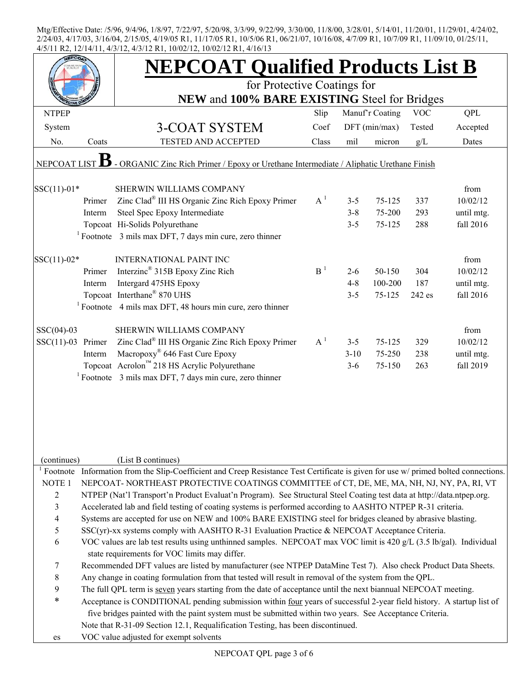|                     |        | <b>NEPCOAT Qualified Products List B</b>                                                                                                          |                |          |                 |            |                  |  |  |
|---------------------|--------|---------------------------------------------------------------------------------------------------------------------------------------------------|----------------|----------|-----------------|------------|------------------|--|--|
|                     |        | for Protective Coatings for<br>NEW and 100% BARE EXISTING Steel for Bridges                                                                       |                |          |                 |            |                  |  |  |
| <b>NTPEP</b>        |        |                                                                                                                                                   | Slip           |          | Manuf'r Coating | <b>VOC</b> | <b>QPL</b>       |  |  |
|                     |        |                                                                                                                                                   |                |          |                 |            |                  |  |  |
| System              |        | 3-COAT SYSTEM                                                                                                                                     | Coef           |          | $DFT$ (min/max) | Tested     | Accepted         |  |  |
| No.                 | Coats  | <b>TESTED AND ACCEPTED</b>                                                                                                                        | Class          | mil      | micron          | g/L        | Dates            |  |  |
| NEPCOAT LIST        |        | - ORGANIC Zinc Rich Primer / Epoxy or Urethane Intermediate / Aliphatic Urethane Finish                                                           |                |          |                 |            |                  |  |  |
| $SSC(11)-01*$       |        | SHERWIN WILLIAMS COMPANY                                                                                                                          |                |          |                 |            | from             |  |  |
|                     | Primer | Zinc Clad® III HS Organic Zinc Rich Epoxy Primer                                                                                                  | $A^1$          | $3 - 5$  | 75-125          | 337        | 10/02/12         |  |  |
|                     | Interm | Steel Spec Epoxy Intermediate                                                                                                                     |                | $3 - 8$  | 75-200          | 293        | until mtg.       |  |  |
|                     |        | Topcoat Hi-Solids Polyurethane                                                                                                                    |                | $3 - 5$  | 75-125          | 288        | fall 2016        |  |  |
|                     |        | $1$ Footnote 3 mils max DFT, 7 days min cure, zero thinner                                                                                        |                |          |                 |            |                  |  |  |
|                     |        |                                                                                                                                                   |                |          |                 |            |                  |  |  |
| $SSC(11)-02*$       |        | <b>INTERNATIONAL PAINT INC</b><br>Interzinc <sup>®</sup> 315B Epoxy Zinc Rich                                                                     | B <sup>1</sup> |          |                 |            | from<br>10/02/12 |  |  |
|                     | Primer |                                                                                                                                                   |                | $2 - 6$  | 50-150          | 304        |                  |  |  |
|                     | Interm | Intergard 475HS Epoxy<br>Topcoat Interthane® 870 UHS                                                                                              |                | $4 - 8$  | 100-200         | 187        | until mtg.       |  |  |
|                     |        |                                                                                                                                                   |                | $3 - 5$  | 75-125          | 242 es     | fall 2016        |  |  |
|                     |        | $1$ Footnote 4 mils max DFT, 48 hours min cure, zero thinner                                                                                      |                |          |                 |            |                  |  |  |
| $SSC(04)-03$        |        | SHERWIN WILLIAMS COMPANY                                                                                                                          |                |          |                 |            | from             |  |  |
| $SSC(11)-03$ Primer |        | Zinc Clad <sup>®</sup> III HS Organic Zinc Rich Epoxy Primer                                                                                      | $A^1$          | $3 - 5$  | 75-125          | 329        | 10/02/12         |  |  |
|                     | Interm | Macropoxy <sup>®</sup> 646 Fast Cure Epoxy                                                                                                        |                | $3 - 10$ | 75-250          | 238        | until mtg.       |  |  |
|                     |        | Topcoat Acrolon <sup>™</sup> 218 HS Acrylic Polyurethane                                                                                          |                | $3 - 6$  | 75-150          | 263        | fall 2019        |  |  |
|                     |        | $1$ Footnote 3 mils max DFT, 7 days min cure, zero thinner                                                                                        |                |          |                 |            |                  |  |  |
|                     |        |                                                                                                                                                   |                |          |                 |            |                  |  |  |
|                     |        |                                                                                                                                                   |                |          |                 |            |                  |  |  |
|                     |        |                                                                                                                                                   |                |          |                 |            |                  |  |  |
|                     |        |                                                                                                                                                   |                |          |                 |            |                  |  |  |
| (continues)         |        | (List B continues)                                                                                                                                |                |          |                 |            |                  |  |  |
|                     |        | <sup>1</sup> Footnote Information from the Slip-Coefficient and Creep Resistance Test Certificate is given for use $w$ primed bolted connections. |                |          |                 |            |                  |  |  |
| NOTE <sub>1</sub>   |        | NEPCOAT-NORTHEAST PROTECTIVE COATINGS COMMITTEE of CT, DE, ME, MA, NH, NJ, NY, PA, RI, VT                                                         |                |          |                 |            |                  |  |  |
| $\overline{2}$      |        | NTPEP (Nat'l Transport'n Product Evaluat'n Program). See Structural Steel Coating test data at http://data.ntpep.org.                             |                |          |                 |            |                  |  |  |
| 3                   |        | Accelerated lab and field testing of coating systems is performed according to AASHTO NTPEP R-31 criteria.                                        |                |          |                 |            |                  |  |  |
| 4                   |        | Systems are accepted for use on NEW and 100% BARE EXISTING steel for bridges cleaned by abrasive blasting.                                        |                |          |                 |            |                  |  |  |
| 5                   |        | $SSC(yr)$ -xx systems comply with AASHTO R-31 Evaluation Practice & NEPCOAT Acceptance Criteria.                                                  |                |          |                 |            |                  |  |  |
| 6                   |        | VOC values are lab test results using unthinned samples. NEPCOAT max VOC limit is 420 g/L (3.5 lb/gal). Individual                                |                |          |                 |            |                  |  |  |
|                     |        | state requirements for VOC limits may differ.                                                                                                     |                |          |                 |            |                  |  |  |
| 7                   |        | Recommended DFT values are listed by manufacturer (see NTPEP DataMine Test 7). Also check Product Data Sheets.                                    |                |          |                 |            |                  |  |  |
| $\,$ $\,$           |        | Any change in coating formulation from that tested will result in removal of the system from the QPL.                                             |                |          |                 |            |                  |  |  |
| 9                   |        | The full QPL term is seven years starting from the date of acceptance until the next biannual NEPCOAT meeting.                                    |                |          |                 |            |                  |  |  |
| ∗                   |        | Acceptance is CONDITIONAL pending submission within four years of successful 2-year field history. A startup list of                              |                |          |                 |            |                  |  |  |
|                     |        | five bridges painted with the paint system must be submitted within two years. See Acceptance Criteria.                                           |                |          |                 |            |                  |  |  |
|                     |        | Note that R-31-09 Section 12.1, Requalification Testing, has been discontinued.                                                                   |                |          |                 |            |                  |  |  |
| es                  |        | VOC value adjusted for exempt solvents                                                                                                            |                |          |                 |            |                  |  |  |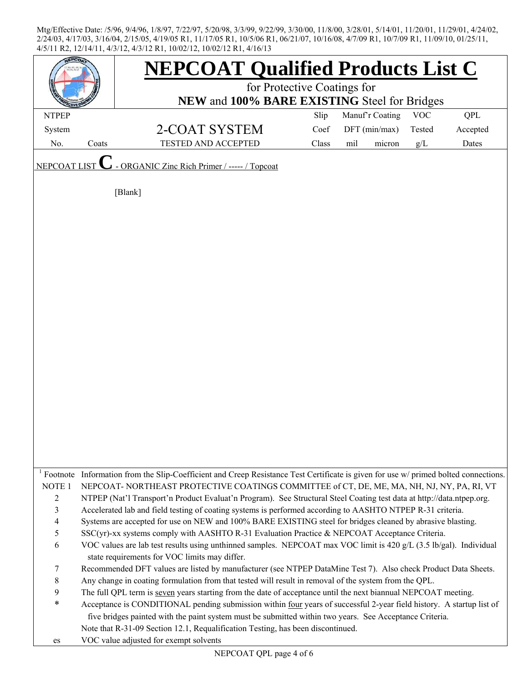|                   |       | <b>NEPCOAT Qualified Products List C</b>                                                                                                                                                                                |       |                 |            |          |  |  |  |  |
|-------------------|-------|-------------------------------------------------------------------------------------------------------------------------------------------------------------------------------------------------------------------------|-------|-----------------|------------|----------|--|--|--|--|
|                   |       | for Protective Coatings for                                                                                                                                                                                             |       |                 |            |          |  |  |  |  |
|                   |       | NEW and 100% BARE EXISTING Steel for Bridges                                                                                                                                                                            |       |                 |            |          |  |  |  |  |
| <b>NTPEP</b>      |       |                                                                                                                                                                                                                         | Slip  | Manuf'r Coating | <b>VOC</b> | QPL      |  |  |  |  |
| System            |       | 2-COAT SYSTEM                                                                                                                                                                                                           | Coef  | DFT (min/max)   | Tested     | Accepted |  |  |  |  |
| No.               | Coats | <b>TESTED AND ACCEPTED</b>                                                                                                                                                                                              | Class | mil<br>micron   | g/L        | Dates    |  |  |  |  |
| NEPCOAT LIST      |       | - ORGANIC Zinc Rich Primer / ----- / Topcoat                                                                                                                                                                            |       |                 |            |          |  |  |  |  |
|                   |       | [Blank]                                                                                                                                                                                                                 |       |                 |            |          |  |  |  |  |
|                   |       |                                                                                                                                                                                                                         |       |                 |            |          |  |  |  |  |
|                   |       |                                                                                                                                                                                                                         |       |                 |            |          |  |  |  |  |
|                   |       |                                                                                                                                                                                                                         |       |                 |            |          |  |  |  |  |
|                   |       |                                                                                                                                                                                                                         |       |                 |            |          |  |  |  |  |
|                   |       |                                                                                                                                                                                                                         |       |                 |            |          |  |  |  |  |
|                   |       |                                                                                                                                                                                                                         |       |                 |            |          |  |  |  |  |
|                   |       |                                                                                                                                                                                                                         |       |                 |            |          |  |  |  |  |
|                   |       |                                                                                                                                                                                                                         |       |                 |            |          |  |  |  |  |
|                   |       |                                                                                                                                                                                                                         |       |                 |            |          |  |  |  |  |
|                   |       |                                                                                                                                                                                                                         |       |                 |            |          |  |  |  |  |
|                   |       |                                                                                                                                                                                                                         |       |                 |            |          |  |  |  |  |
|                   |       |                                                                                                                                                                                                                         |       |                 |            |          |  |  |  |  |
|                   |       |                                                                                                                                                                                                                         |       |                 |            |          |  |  |  |  |
|                   |       |                                                                                                                                                                                                                         |       |                 |            |          |  |  |  |  |
|                   |       |                                                                                                                                                                                                                         |       |                 |            |          |  |  |  |  |
|                   |       |                                                                                                                                                                                                                         |       |                 |            |          |  |  |  |  |
|                   |       |                                                                                                                                                                                                                         |       |                 |            |          |  |  |  |  |
|                   |       |                                                                                                                                                                                                                         |       |                 |            |          |  |  |  |  |
|                   |       |                                                                                                                                                                                                                         |       |                 |            |          |  |  |  |  |
|                   |       |                                                                                                                                                                                                                         |       |                 |            |          |  |  |  |  |
|                   |       | <sup>1</sup> Footnote Information from the Slip-Coefficient and Creep Resistance Test Certificate is given for use $w$ primed bolted connections.                                                                       |       |                 |            |          |  |  |  |  |
| NOTE <sub>1</sub> |       | NEPCOAT-NORTHEAST PROTECTIVE COATINGS COMMITTEE of CT, DE, ME, MA, NH, NJ, NY, PA, RI, VT                                                                                                                               |       |                 |            |          |  |  |  |  |
| $\overline{2}$    |       | NTPEP (Nat'l Transport'n Product Evaluat'n Program). See Structural Steel Coating test data at http://data.ntpep.org.                                                                                                   |       |                 |            |          |  |  |  |  |
| $\mathfrak{Z}$    |       | Accelerated lab and field testing of coating systems is performed according to AASHTO NTPEP R-31 criteria.                                                                                                              |       |                 |            |          |  |  |  |  |
| $\overline{4}$    |       | Systems are accepted for use on NEW and 100% BARE EXISTING steel for bridges cleaned by abrasive blasting.                                                                                                              |       |                 |            |          |  |  |  |  |
| 5                 |       | SSC(yr)-xx systems comply with AASHTO R-31 Evaluation Practice & NEPCOAT Acceptance Criteria.                                                                                                                           |       |                 |            |          |  |  |  |  |
| 6                 |       | VOC values are lab test results using unthinned samples. NEPCOAT max VOC limit is 420 g/L (3.5 lb/gal). Individual                                                                                                      |       |                 |            |          |  |  |  |  |
|                   |       | state requirements for VOC limits may differ.                                                                                                                                                                           |       |                 |            |          |  |  |  |  |
| 7                 |       | Recommended DFT values are listed by manufacturer (see NTPEP DataMine Test 7). Also check Product Data Sheets.                                                                                                          |       |                 |            |          |  |  |  |  |
| $8\,$<br>9        |       | Any change in coating formulation from that tested will result in removal of the system from the QPL.<br>The full QPL term is seven years starting from the date of acceptance until the next biannual NEPCOAT meeting. |       |                 |            |          |  |  |  |  |
| $\ast$            |       | Acceptance is CONDITIONAL pending submission within four years of successful 2-year field history. A startup list of                                                                                                    |       |                 |            |          |  |  |  |  |
|                   |       | five bridges painted with the paint system must be submitted within two years. See Acceptance Criteria.                                                                                                                 |       |                 |            |          |  |  |  |  |
|                   |       | Note that R-31-09 Section 12.1, Requalification Testing, has been discontinued.                                                                                                                                         |       |                 |            |          |  |  |  |  |
| es                |       | VOC value adjusted for exempt solvents                                                                                                                                                                                  |       |                 |            |          |  |  |  |  |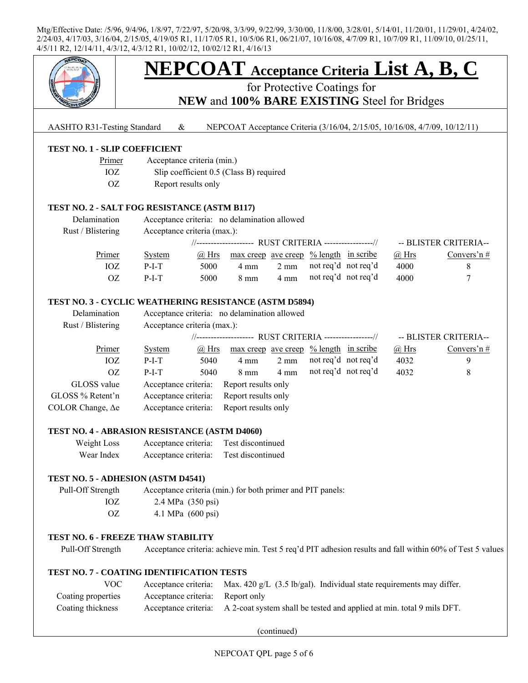

# **NEPCOAT Acceptance Criteria List A, B, C**

for Protective Coatings for **NEW** and **100% BARE EXISTING** Steel for Bridges

AASHTO R31-Testing Standard & NEPCOAT Acceptance Criteria (3/16/04, 2/15/05, 10/16/08, 4/7/09, 10/12/11)

## **TEST NO. 1 - SLIP COEFFICIENT**

| Primer | Acceptance criteria (min.)              |
|--------|-----------------------------------------|
| IOZ.   | Slip coefficient 0.5 (Class B) required |
| OZ.    | Report results only                     |

## **TEST NO. 2 - SALT FOG RESISTANCE (ASTM B117)**

| Delamination      | Acceptance criteria: no delamination allowed |                             |                                                                  |                |                     |  |              |                       |
|-------------------|----------------------------------------------|-----------------------------|------------------------------------------------------------------|----------------|---------------------|--|--------------|-----------------------|
| Rust / Blistering |                                              | Acceptance criteria (max.): |                                                                  |                |                     |  |              |                       |
|                   |                                              |                             | //-------------------- RUST CRITERIA -----------------//         |                |                     |  |              | -- BLISTER CRITERIA-- |
| Primer            | System                                       | @ Hrs                       | $\frac{max\,creep}{ave\,ceep}$ $\frac{\%\,length}{\%}$ in scribe |                |                     |  | $\omega$ Hrs | Convers'n $#$         |
| IOZ               | $P-I-T$                                      | 5000                        | 4 mm                                                             | $2 \text{ mm}$ | not req'd not req'd |  | 4000         |                       |
| OZ                | $P-I-T$                                      | 5000                        | $8 \text{ mm}$                                                   | 4 mm           | not req'd not req'd |  | 4000         |                       |

## **TEST NO. 3 - CYCLIC WEATHERING RESISTANCE (ASTM D5894)**

| Delamination<br>Rust / Blistering | Acceptance criteria: no delamination allowed<br>Acceptance criteria (max.): |              |                     |                |                      |  |         |                       |  |
|-----------------------------------|-----------------------------------------------------------------------------|--------------|---------------------|----------------|----------------------|--|---------|-----------------------|--|
|                                   |                                                                             |              |                     |                |                      |  |         |                       |  |
|                                   | //------------------- RUST CRITERIA -----------------//                     |              |                     |                |                      |  |         | -- BLISTER CRITERIA-- |  |
| Primer                            | <b>System</b>                                                               | $\omega$ Hrs | max creep ave creep |                | $%$ length in scribe |  | $@$ Hrs | Convers'n#            |  |
| IOZ                               | $P-I-T$                                                                     | 5040         | 4 mm                | $2 \text{ mm}$ | not req'd not req'd  |  | 4032    | 9                     |  |
| OΖ                                | $P-I-T$                                                                     | 5040         | $8 \text{ mm}$      | 4 mm           | not req'd not req'd  |  | 4032    | 8                     |  |
| GLOSS value                       | Acceptance criteria:                                                        |              | Report results only |                |                      |  |         |                       |  |
| GLOSS % Retent'n                  | Acceptance criteria:                                                        |              | Report results only |                |                      |  |         |                       |  |
| COLOR Change, $\Delta e$          | Acceptance criteria:                                                        |              | Report results only |                |                      |  |         |                       |  |

#### **TEST NO. 4 - ABRASION RESISTANCE (ASTM D4060)**

| Weight Loss | Acceptance criteria: | Test discontinued |
|-------------|----------------------|-------------------|
| Wear Index  | Acceptance criteria: | Test discontinued |

#### **TEST NO. 5 - ADHESION (ASTM D4541)**

 Pull-Off Strength Acceptance criteria (min.) for both primer and PIT panels: IOZ 2.4 MPa (350 psi) OZ 4.1 MPa (600 psi)

## **TEST NO. 6 - FREEZE THAW STABILITY**

Pull-Off Strength Acceptance criteria: achieve min. Test 5 req'd PIT adhesion results and fall within 60% of Test 5 values

## **TEST NO. 7 - COATING IDENTIFICATION TESTS**

| VOC-               |                                  | Acceptance criteria: Max. 420 g/L $(3.5 \text{ lb/gal})$ . Individual state requirements may differ. |
|--------------------|----------------------------------|------------------------------------------------------------------------------------------------------|
| Coating properties | Acceptance criteria: Report only |                                                                                                      |
| Coating thickness  |                                  | Acceptance criteria: A 2-coat system shall be tested and applied at min. total 9 mils DFT.           |

(continued)